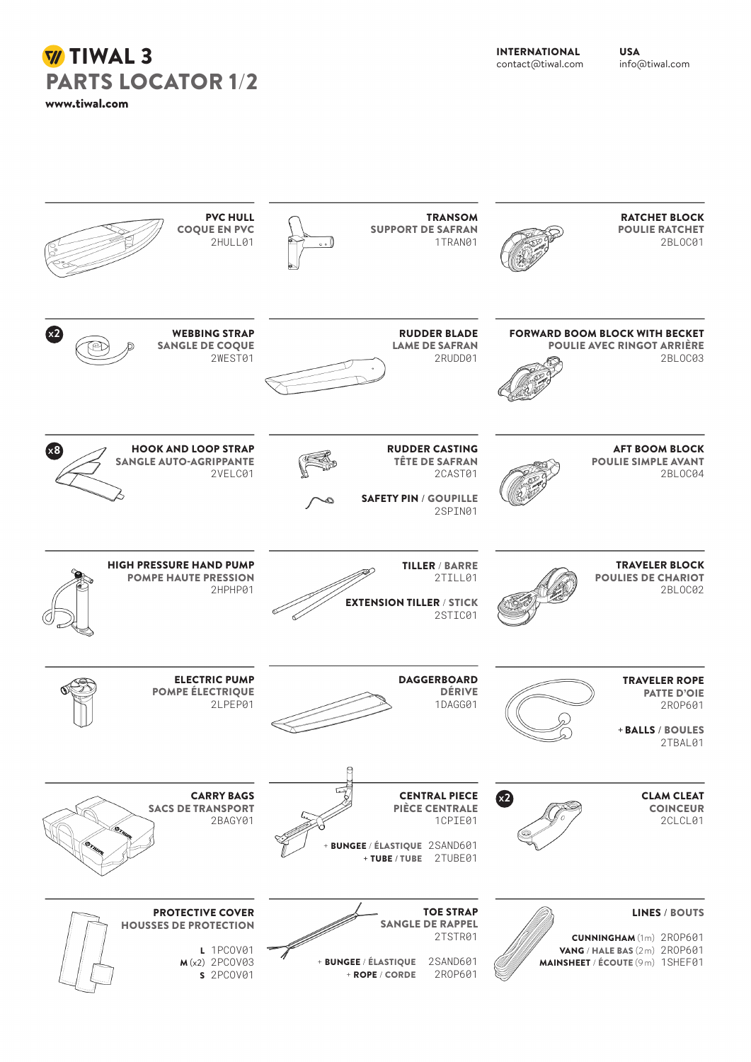**W** TIWAL 3 PARTS LOCATOR 1/2

www.tiwal.com

INTERNATIONAL contact@tiwal.com

USA info@tiwal.com

| <b>PVC HULL</b><br><b>COQUE EN PVC</b><br>2HULL01                                                    | <b>TRANSOM</b><br><b>SUPPORT DE SAFRAN</b><br>1TRAN01<br>$\circ \circ$                                                  | <b>RATCHET BLOCK</b><br><b>POULIE RATCHET</b><br>2BL0C01                                                                  |
|------------------------------------------------------------------------------------------------------|-------------------------------------------------------------------------------------------------------------------------|---------------------------------------------------------------------------------------------------------------------------|
| x2<br><b>WEBBING STRAP</b><br><b>SANGLE DE COQUE</b><br>2WEST01                                      | <b>RUDDER BLADE</b><br><b>LAME DE SAFRAN</b><br>2RUDD01                                                                 | <b>FORWARD BOOM BLOCK WITH BECKET</b><br><b>POULIE AVEC RINGOT ARRIÈRE</b><br>2BLOC03                                     |
| x3<br><b>HOOK AND LOOP STRAP</b><br><b>SANGLE AUTO-AGRIPPANTE</b><br>2VELC01                         | <b>RUDDER CASTING</b><br><b>TÊTE DE SAFRAN</b><br>2CAST01<br><b>SAFETY PIN / GOUPILLE</b><br>2SPIN01                    | <b>AFT BOOM BLOCK</b><br><b>POULIE SIMPLE AVANT</b><br>2BLOC04                                                            |
| <b>HIGH PRESSURE HAND PUMP</b><br><b>POMPE HAUTE PRESSION</b><br>2HPHP01                             | <b>TILLER / BARRE</b><br>2TILL01<br><b>EXTENSION TILLER / STICK</b><br>2STIC01                                          | <b>TRAVELER BLOCK</b><br><b>POULIES DE CHARIOT</b><br>2BLOC02                                                             |
| <b>ELECTRIC PUMP</b><br><b>POMPE ÉLECTRIQUE</b><br>2LPEP01                                           | <b>DAGGERBOARD</b><br><b>DÉRIVE</b><br>1DAGG01<br>₿                                                                     | <b>TRAVELER ROPE</b><br><b>PATTE D'OIE</b><br>2R0P601<br>+ BALLS / BOULES<br>2TBAL01                                      |
| <b>CARRY BAGS</b><br><b>SACS DE TRANSPORT</b><br>2BAGY01                                             | <b>CENTRAL PIECE</b><br><b>PIÈCE CENTRALE</b><br>1CPIE01<br><b>BUNGEE / ÉLASTIQUE 2SAND601</b><br>+ TUBE / TUBE 2TUBE01 | x <sup>2</sup><br><b>CLAM CLEAT</b><br><b>COINCEUR</b><br>2CLCL01                                                         |
| <b>PROTECTIVE COVER</b><br><b>HOUSSES DE PROTECTION</b><br>L 1PC0V01<br>$M(x2)$ 2PCOV03<br>s 2PCOV01 | <b>TOE STRAP</b><br><b>SANGLE DE RAPPEL</b><br>2TSTR01<br>2SAND601<br>+ BUNGEE / ÉLASTIQUE<br>2R0P601<br>+ ROPE / CORDE | <b>LINES / BOUTS</b><br><b>CUNNINGHAM</b> (1m) 2R0P601<br>VANG / HALE BAS (2m) 2R0P601<br>MAINSHEET / ÉCOUTE (9m) 1SHEF01 |